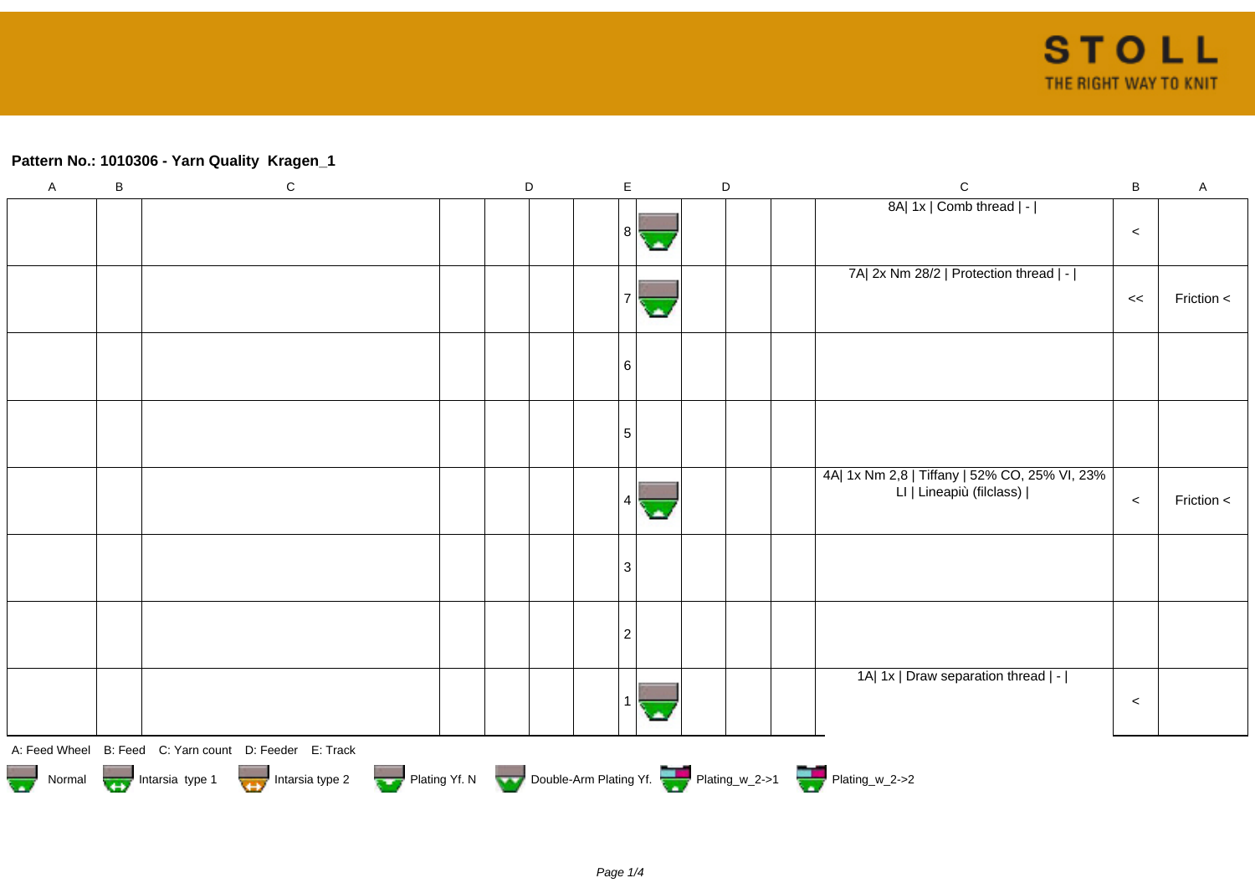## **Pattern No.: 1010306 - Yarn Quality Kragen\_1**

| $\overline{A}$                                                                               | $\sf B$ | ${\bf C}$                                              |  | $\mathsf D$ |                | $\mathsf{E}% _{T}$ |    | $\mathsf D$ |  | $\mathbf C$                                                               | $\sf B$ | $\mathsf A$ |
|----------------------------------------------------------------------------------------------|---------|--------------------------------------------------------|--|-------------|----------------|--------------------|----|-------------|--|---------------------------------------------------------------------------|---------|-------------|
|                                                                                              |         |                                                        |  |             |                | 8                  | ٠  |             |  | 8A  1x   Comb thread   -                                                  | $\prec$ |             |
|                                                                                              |         |                                                        |  |             |                |                    |    |             |  | 7A  2x Nm 28/2   Protection thread   -                                    | <<      | Friction <  |
|                                                                                              |         |                                                        |  |             |                | 6                  |    |             |  |                                                                           |         |             |
|                                                                                              |         |                                                        |  |             | 5              |                    |    |             |  |                                                                           |         |             |
|                                                                                              |         |                                                        |  |             |                | 4                  | o. |             |  | 4A  1x Nm 2,8   Tiffany   52% CO, 25% VI, 23%<br>LI   Lineapiù (filclass) | $\,<\,$ | Friction <  |
|                                                                                              |         |                                                        |  |             |                | $\mathbf{3}$       |    |             |  |                                                                           |         |             |
|                                                                                              |         |                                                        |  |             | $\overline{c}$ |                    |    |             |  |                                                                           |         |             |
|                                                                                              |         |                                                        |  |             |                |                    |    |             |  | 1A  1x   Draw separation thread   -                                       | $\prec$ |             |
|                                                                                              |         | A: Feed Wheel B: Feed C: Yarn count D: Feeder E: Track |  |             |                |                    |    |             |  |                                                                           |         |             |
| Normal Intarsia type 1 Intarsia type 2 Plating Yf. N Double-Arm Plating Yf. 2 Plating_w_2->1 |         |                                                        |  |             |                |                    |    |             |  |                                                                           |         |             |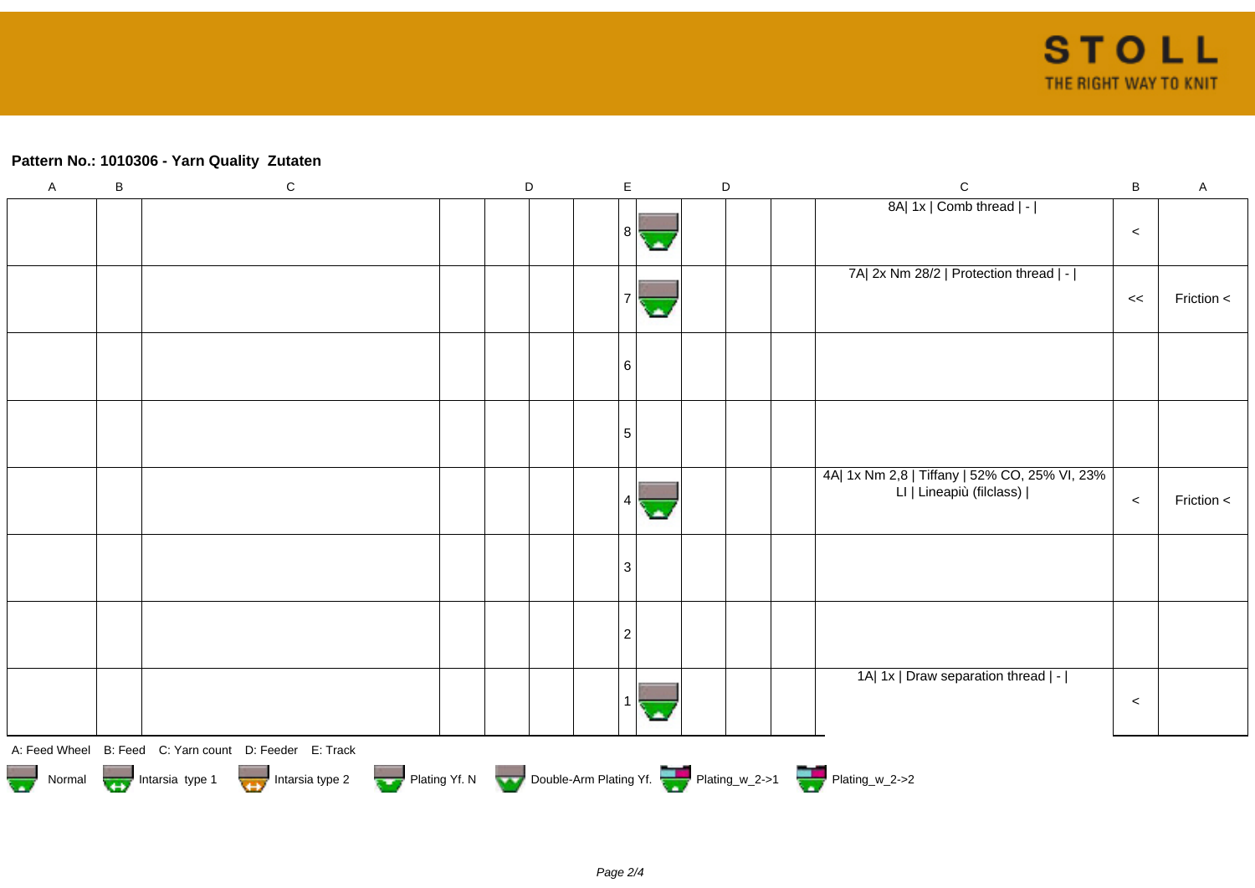## **Pattern No.: 1010306 - Yarn Quality Zutaten**

| $\mathsf{A}$                                                                               | $\sf B$ | ${\rm C}$                                              |  | D |  | $\mathsf E$ |  | $\mathsf D$ |  | $\mathbf C$                                                               | $\mathsf B$ | $\mathsf A$ |
|--------------------------------------------------------------------------------------------|---------|--------------------------------------------------------|--|---|--|-------------|--|-------------|--|---------------------------------------------------------------------------|-------------|-------------|
|                                                                                            |         |                                                        |  |   |  | 8           |  |             |  | 8A  1x   Comb thread   -                                                  | $\prec$     |             |
|                                                                                            |         |                                                        |  |   |  |             |  |             |  | 7A  2x Nm 28/2   Protection thread   -                                    | <<          | Friction <  |
|                                                                                            |         |                                                        |  |   |  | 6           |  |             |  |                                                                           |             |             |
|                                                                                            |         |                                                        |  |   |  | 5           |  |             |  |                                                                           |             |             |
|                                                                                            |         |                                                        |  |   |  |             |  |             |  | 4A  1x Nm 2,8   Tiffany   52% CO, 25% VI, 23%<br>LI   Lineapiù (filclass) | $\prec$     | Friction <  |
|                                                                                            |         |                                                        |  |   |  | 3           |  |             |  |                                                                           |             |             |
|                                                                                            |         |                                                        |  |   |  | 2           |  |             |  |                                                                           |             |             |
|                                                                                            |         |                                                        |  |   |  |             |  |             |  | 1A  1x   Draw separation thread   -                                       | $\prec$     |             |
|                                                                                            |         | A: Feed Wheel B: Feed C: Yarn count D: Feeder E: Track |  |   |  |             |  |             |  |                                                                           |             |             |
| Normal Intarsia type 1 Intarsia type 2 Plating Yf. N Double-Arm Plating Yf. Thating_w_2->1 |         |                                                        |  |   |  |             |  |             |  |                                                                           |             |             |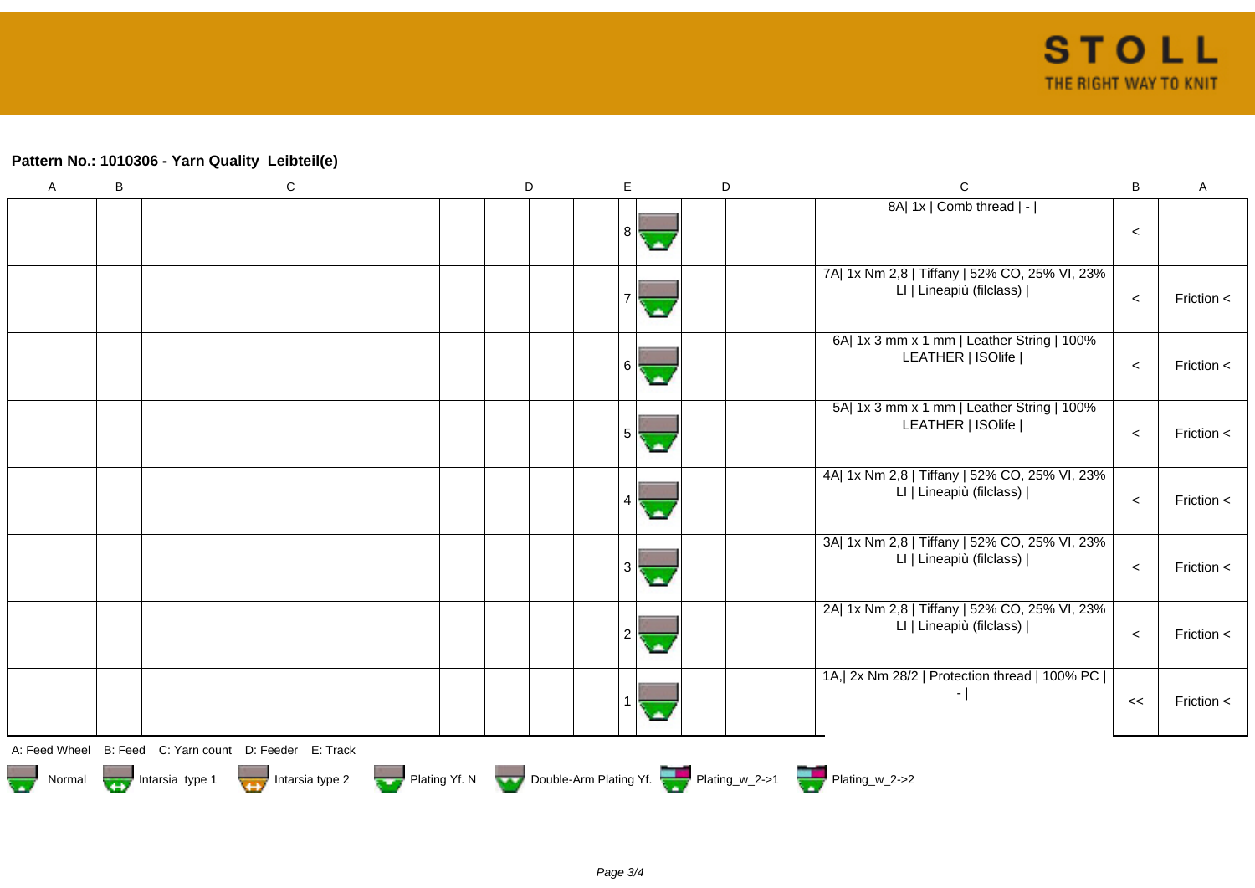## **Pattern No.: 1010306 - Yarn Quality Leibteil(e)**

| A | $\sf B$ | ${\bf C}$                                                                                   | D | E | D | $\mathsf{C}$                                                              | $\, {\bf B}$ | $\mathsf A$    |
|---|---------|---------------------------------------------------------------------------------------------|---|---|---|---------------------------------------------------------------------------|--------------|----------------|
|   |         |                                                                                             |   |   |   | 8A  1x   Comb thread   -                                                  | $\,<$        |                |
|   |         |                                                                                             |   |   |   | 7A  1x Nm 2,8   Tiffany   52% CO, 25% VI, 23%<br>LI   Lineapiù (filclass) | $\prec$      | Friction <     |
|   |         |                                                                                             |   | 6 |   | 6A  1x 3 mm x 1 mm   Leather String   100%<br>LEATHER   ISOlife           | $\,<\,$      | Friction $\lt$ |
|   |         |                                                                                             |   | 5 |   | 5A  1x 3 mm x 1 mm   Leather String   100%<br>LEATHER   ISOlife           | $\,<\,$      | Friction $\lt$ |
|   |         |                                                                                             |   |   |   | 4A  1x Nm 2,8   Tiffany   52% CO, 25% VI, 23%<br>LI   Lineapiù (filclass) | $\prec$      | Friction $\lt$ |
|   |         |                                                                                             |   |   |   | 3A  1x Nm 2,8   Tiffany   52% CO, 25% VI, 23%<br>LI   Lineapiù (filclass) | $\prec$      | Friction $\lt$ |
|   |         |                                                                                             |   |   |   | 2A  1x Nm 2,8   Tiffany   52% CO, 25% VI, 23%<br>LI   Lineapiù (filclass) | $\prec$      | Friction <     |
|   |         |                                                                                             |   |   |   | 1A, 2x Nm 28/2   Protection thread   100% PC  <br>$\lceil$                | <<           | Friction <     |
|   |         | A: Feed Wheel B: Feed C: Yarn count D: Feeder E: Track                                      |   |   |   |                                                                           |              |                |
|   |         | Normal <b>Double-Arm Plating Yf. N</b> Double-Arm Plating Yf. N Double-Arm Plating Yf. 2->1 |   |   |   |                                                                           |              |                |